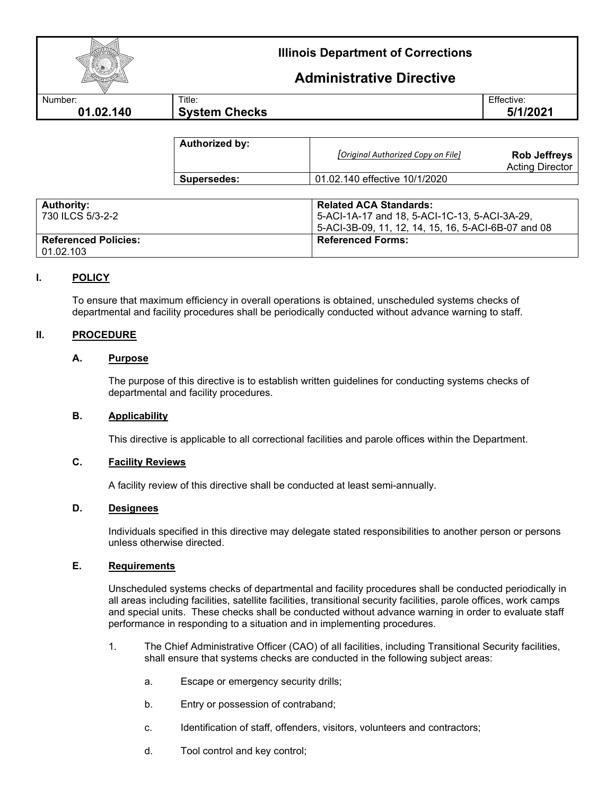|           | <b>Illinois Department of Corrections</b> |                                 |
|-----------|-------------------------------------------|---------------------------------|
|           |                                           | <b>Administrative Directive</b> |
| Number:   | Title:                                    | Effective:                      |
| 01.02.140 | <b>System Checks</b>                      | 5/1/2021                        |
|           |                                           |                                 |

| <b>Authorized by:</b> |                                   |                                               |
|-----------------------|-----------------------------------|-----------------------------------------------|
|                       | Original Authorized Copy on File] | <b>Rob Jeffreys</b><br><b>Acting Director</b> |
| Supersedes:           | 01.02.140 effective 10/1/2020     |                                               |

| <b>Authority:</b><br><sup>1</sup> 730 ILCS 5/3-2-2 | <b>Related ACA Standards:</b><br>5-ACI-1A-17 and 18, 5-ACI-1C-13, 5-ACI-3A-29,<br>5-ACI-3B-09, 11, 12, 14, 15, 16, 5-ACI-6B-07 and 08 |
|----------------------------------------------------|---------------------------------------------------------------------------------------------------------------------------------------|
| <b>Referenced Policies:</b><br>01.02.103           | <b>Referenced Forms:</b>                                                                                                              |

# **I. POLICY**

To ensure that maximum efficiency in overall operations is obtained, unscheduled systems checks of departmental and facility procedures shall be periodically conducted without advance warning to staff.

### **II. PROCEDURE**

### **A. Purpose**

The purpose of this directive is to establish written guidelines for conducting systems checks of departmental and facility procedures.

#### **B. Applicability**

This directive is applicable to all correctional facilities and parole offices within the Department.

#### **C. Facility Reviews**

A facility review of this directive shall be conducted at least semi-annually.

## **D. Designees**

Individuals specified in this directive may delegate stated responsibilities to another person or persons unless otherwise directed.

#### **E. Requirements**

Unscheduled systems checks of departmental and facility procedures shall be conducted periodically in all areas including facilities, satellite facilities, transitional security facilities, parole offices, work camps and special units. These checks shall be conducted without advance warning in order to evaluate staff performance in responding to a situation and in implementing procedures.

- 1. The Chief Administrative Officer (CAO) of all facilities, including Transitional Security facilities, shall ensure that systems checks are conducted in the following subject areas:
	- a. Escape or emergency security drills;
	- b. Entry or possession of contraband;
	- c. Identification of staff, offenders, visitors, volunteers and contractors;
	- d. Tool control and key control;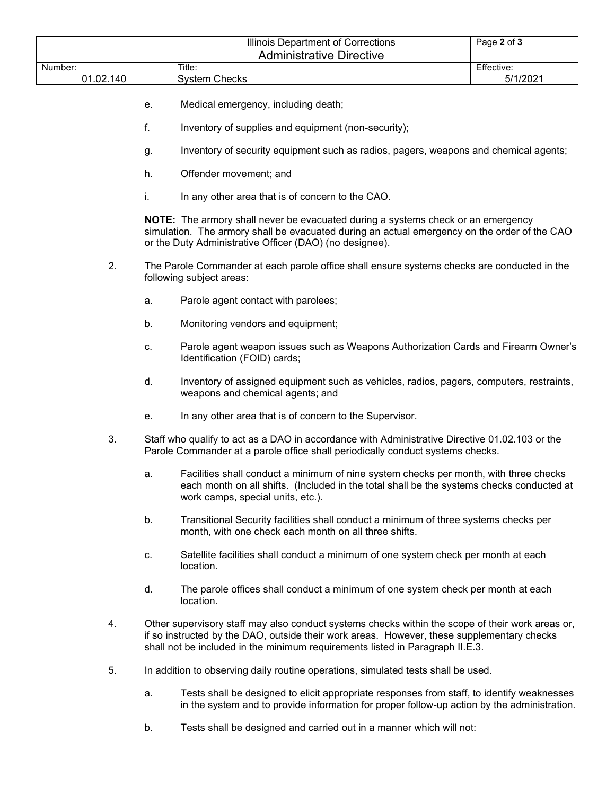|           |    | Illinois Department of Corrections<br><b>Administrative Directive</b>                                                                                                                                                                                                           | Page 2 of 3 |  |
|-----------|----|---------------------------------------------------------------------------------------------------------------------------------------------------------------------------------------------------------------------------------------------------------------------------------|-------------|--|
| Number:   |    | Title:                                                                                                                                                                                                                                                                          | Effective:  |  |
| 01.02.140 |    | <b>System Checks</b>                                                                                                                                                                                                                                                            | 5/1/2021    |  |
|           | е. | Medical emergency, including death;                                                                                                                                                                                                                                             |             |  |
|           | f. | Inventory of supplies and equipment (non-security);                                                                                                                                                                                                                             |             |  |
|           | g. | Inventory of security equipment such as radios, pagers, weapons and chemical agents;                                                                                                                                                                                            |             |  |
|           | h. | Offender movement; and                                                                                                                                                                                                                                                          |             |  |
|           | i. | In any other area that is of concern to the CAO.                                                                                                                                                                                                                                |             |  |
|           |    | NOTE: The armory shall never be evacuated during a systems check or an emergency<br>simulation. The armory shall be evacuated during an actual emergency on the order of the CAO<br>or the Duty Administrative Officer (DAO) (no designee).                                     |             |  |
| 2.        |    | The Parole Commander at each parole office shall ensure systems checks are conducted in the<br>following subject areas:                                                                                                                                                         |             |  |
|           | a. | Parole agent contact with parolees;                                                                                                                                                                                                                                             |             |  |
|           | b. | Monitoring vendors and equipment;                                                                                                                                                                                                                                               |             |  |
|           | c. | Parole agent weapon issues such as Weapons Authorization Cards and Firearm Owner's<br>Identification (FOID) cards;                                                                                                                                                              |             |  |
|           | d. | Inventory of assigned equipment such as vehicles, radios, pagers, computers, restraints,<br>weapons and chemical agents; and                                                                                                                                                    |             |  |
|           | е. | In any other area that is of concern to the Supervisor.                                                                                                                                                                                                                         |             |  |
| 3.        |    | Staff who qualify to act as a DAO in accordance with Administrative Directive 01.02.103 or the<br>Parole Commander at a parole office shall periodically conduct systems checks.                                                                                                |             |  |
|           | a. | Facilities shall conduct a minimum of nine system checks per month, with three checks<br>each month on all shifts. (Included in the total shall be the systems checks conducted at<br>work camps, special units, etc.).                                                         |             |  |
|           | b. | Transitional Security facilities shall conduct a minimum of three systems checks per<br>month, with one check each month on all three shifts.                                                                                                                                   |             |  |
|           | c. | Satellite facilities shall conduct a minimum of one system check per month at each<br>location.                                                                                                                                                                                 |             |  |
|           | d. | The parole offices shall conduct a minimum of one system check per month at each<br>location.                                                                                                                                                                                   |             |  |
| 4.        |    | Other supervisory staff may also conduct systems checks within the scope of their work areas or,<br>if so instructed by the DAO, outside their work areas. However, these supplementary checks<br>shall not be included in the minimum requirements listed in Paragraph II.E.3. |             |  |
| 5.        |    | In addition to observing daily routine operations, simulated tests shall be used.                                                                                                                                                                                               |             |  |
|           | a. | Tests shall be designed to elicit appropriate responses from staff, to identify weaknesses<br>in the system and to provide information for proper follow-up action by the administration.                                                                                       |             |  |

b. Tests shall be designed and carried out in a manner which will not: